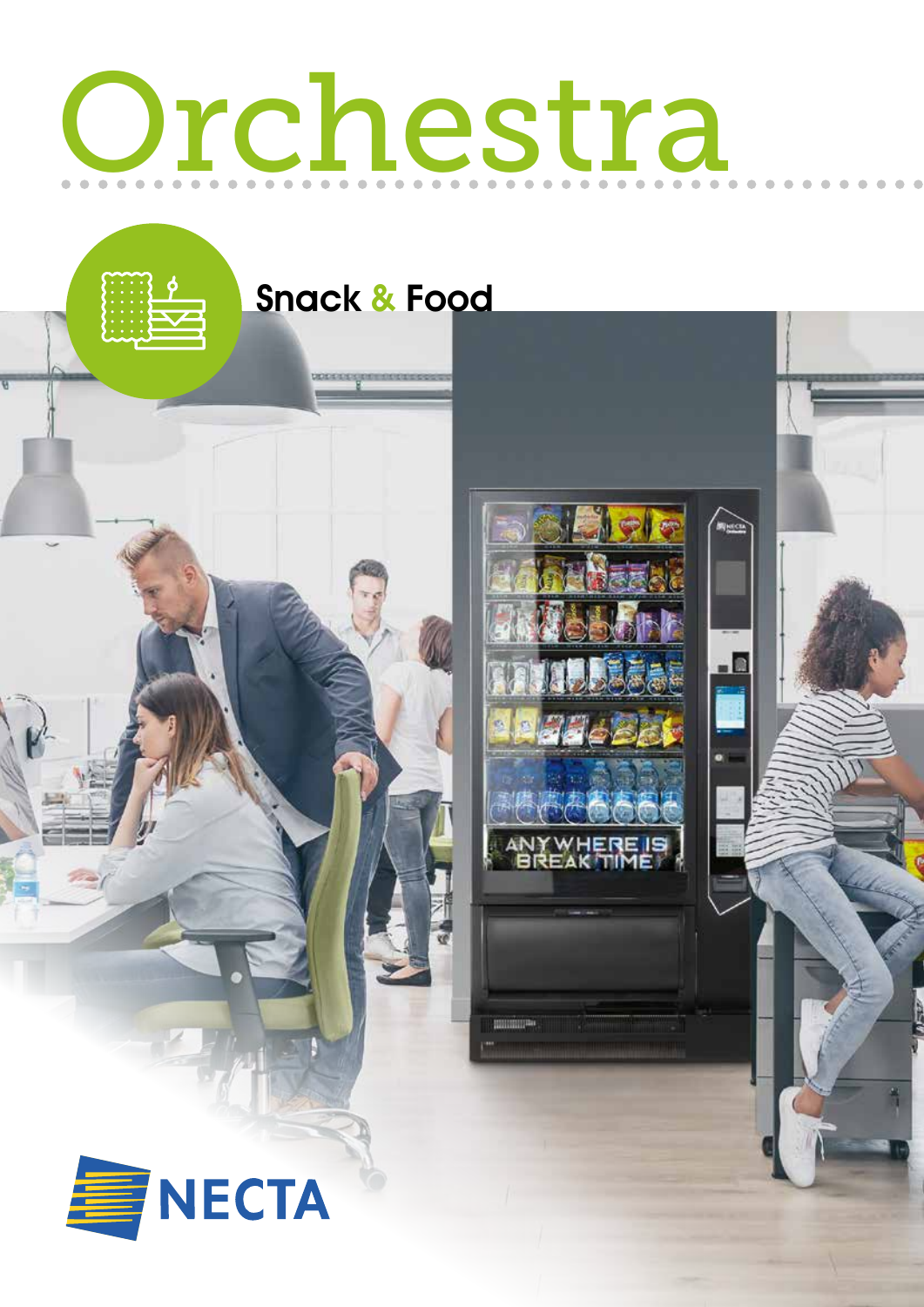# Orchestra

Snack & Food